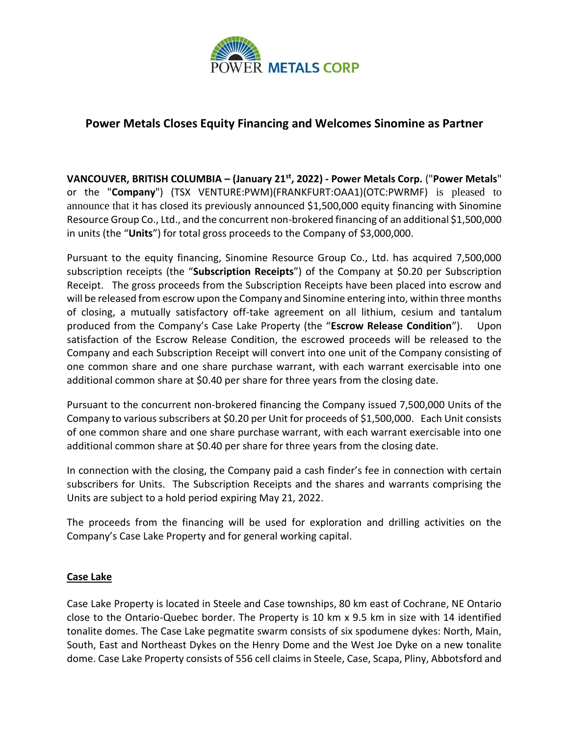

## **Power Metals Closes Equity Financing and Welcomes Sinomine as Partner**

**VANCOUVER, BRITISH COLUMBIA – (January 21 st, 2022) - Power Metals Corp.** ("**Power Metals**" or the "**Company**") (TSX VENTURE:PWM)(FRANKFURT:OAA1)(OTC:PWRMF) is pleased to announce that it has closed its previously announced \$1,500,000 equity financing with Sinomine Resource Group Co., Ltd., and the concurrent non-brokered financing of an additional \$1,500,000 in units (the "**Units**") for total gross proceeds to the Company of \$3,000,000.

Pursuant to the equity financing, Sinomine Resource Group Co., Ltd. has acquired 7,500,000 subscription receipts (the "**Subscription Receipts**") of the Company at \$0.20 per Subscription Receipt. The gross proceeds from the Subscription Receipts have been placed into escrow and will be released from escrow upon the Company and Sinomine entering into, within three months of closing, a mutually satisfactory off-take agreement on all lithium, cesium and tantalum produced from the Company's Case Lake Property (the "**Escrow Release Condition**"). Upon satisfaction of the Escrow Release Condition, the escrowed proceeds will be released to the Company and each Subscription Receipt will convert into one unit of the Company consisting of one common share and one share purchase warrant, with each warrant exercisable into one additional common share at \$0.40 per share for three years from the closing date.

Pursuant to the concurrent non-brokered financing the Company issued 7,500,000 Units of the Company to various subscribers at \$0.20 per Unit for proceeds of \$1,500,000. Each Unit consists of one common share and one share purchase warrant, with each warrant exercisable into one additional common share at \$0.40 per share for three years from the closing date.

In connection with the closing, the Company paid a cash finder's fee in connection with certain subscribers for Units. The Subscription Receipts and the shares and warrants comprising the Units are subject to a hold period expiring May 21, 2022.

The proceeds from the financing will be used for exploration and drilling activities on the Company's Case Lake Property and for general working capital.

## **Case Lake**

Case Lake Property is located in Steele and Case townships, 80 km east of Cochrane, NE Ontario close to the Ontario-Quebec border. The Property is 10 km x 9.5 km in size with 14 identified tonalite domes. The Case Lake pegmatite swarm consists of six spodumene dykes: North, Main, South, East and Northeast Dykes on the Henry Dome and the West Joe Dyke on a new tonalite dome. Case Lake Property consists of 556 cell claims in Steele, Case, Scapa, Pliny, Abbotsford and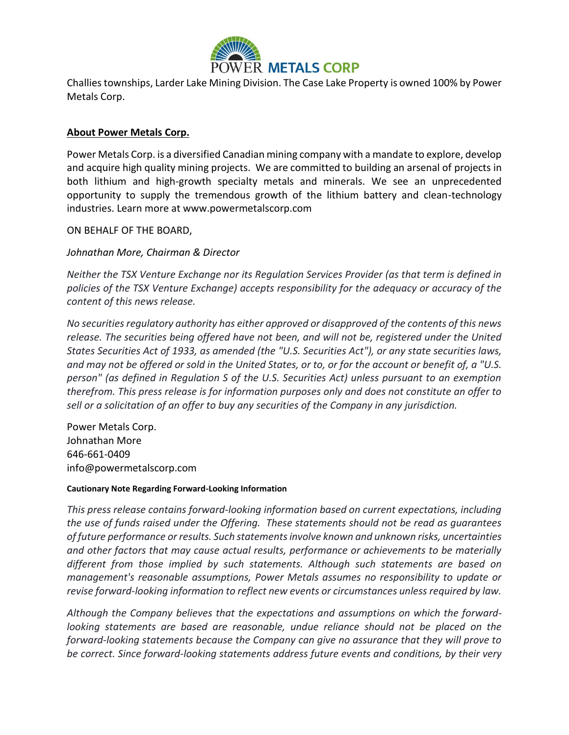

Challies townships, Larder Lake Mining Division. The Case Lake Property is owned 100% by Power Metals Corp.

## **About Power Metals Corp.**

Power Metals Corp. is a diversified Canadian mining company with a mandate to explore, develop and acquire high quality mining projects. We are committed to building an arsenal of projects in both lithium and high-growth specialty metals and minerals. We see an unprecedented opportunity to supply the tremendous growth of the lithium battery and clean-technology industries. Learn more at www.powermetalscorp.com

ON BEHALF OF THE BOARD,

*Johnathan More, Chairman & Director*

*Neither the TSX Venture Exchange nor its Regulation Services Provider (as that term is defined in policies of the TSX Venture Exchange) accepts responsibility for the adequacy or accuracy of the content of this news release.*

*No securities regulatory authority has either approved or disapproved of the contents of this news release. The securities being offered have not been, and will not be, registered under the United States Securities Act of 1933, as amended (the "U.S. Securities Act"), or any state securities laws, and may not be offered or sold in the United States, or to, or for the account or benefit of, a "U.S. person" (as defined in Regulation S of the U.S. Securities Act) unless pursuant to an exemption therefrom. This press release is for information purposes only and does not constitute an offer to sell or a solicitation of an offer to buy any securities of the Company in any jurisdiction.*

Power Metals Corp. Johnathan More 646-661-0409 info@powermetalscorp.com

## **Cautionary Note Regarding Forward-Looking Information**

*This press release contains forward-looking information based on current expectations, including the use of funds raised under the Offering. These statements should not be read as guarantees of future performance or results. Such statements involve known and unknown risks, uncertainties and other factors that may cause actual results, performance or achievements to be materially different from those implied by such statements. Although such statements are based on management's reasonable assumptions, Power Metals assumes no responsibility to update or revise forward-looking information to reflect new events or circumstances unless required by law.*

*Although the Company believes that the expectations and assumptions on which the forwardlooking statements are based are reasonable, undue reliance should not be placed on the forward-looking statements because the Company can give no assurance that they will prove to be correct. Since forward-looking statements address future events and conditions, by their very*